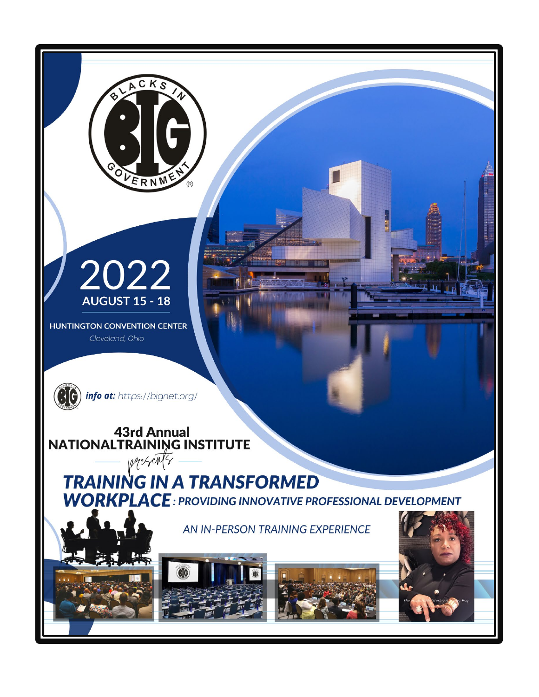

∩

ACKS

ERNM

**HUNTINGTON CONVENTION CENTER** Cleveland, Ohio



(C) info at: https://bignet.org/

**43rd Annual NATIONALTRAINING INSTITUTE** 

presents **TRAINING IN A TRANSFORMED WORKPLACE: PROVIDING INNOVATIVE PROFESSIONAL DEVELOPMENT** 

AN IN-PERSON TRAINING EXPERIENCE





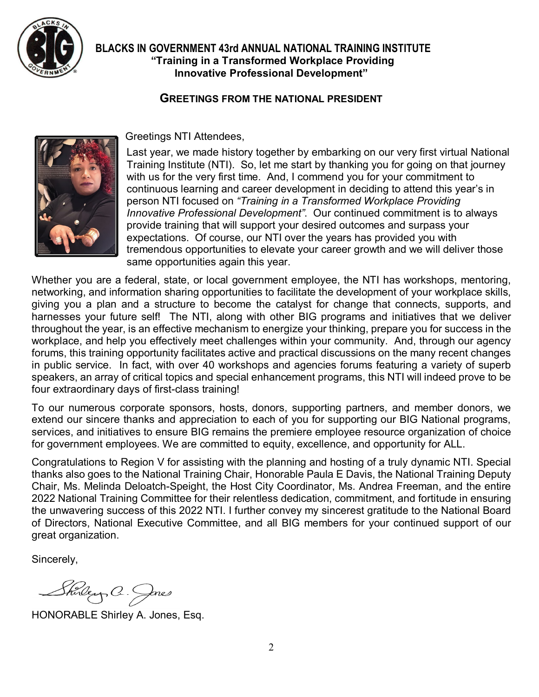

# **GREETINGS FROM THE NATIONAL PRESIDENT**



Greetings NTI Attendees,

Last year, we made history together by embarking on our very first virtual National Training Institute (NTI). So, let me start by thanking you for going on that journey with us for the very first time. And, I commend you for your commitment to continuous learning and career development in deciding to attend this year's in person NTI focused on *"Training in a Transformed Workplace Providing Innovative Professional Development"*. Our continued commitment is to always provide training that will support your desired outcomes and surpass your expectations. Of course, our NTI over the years has provided you with tremendous opportunities to elevate your career growth and we will deliver those same opportunities again this year.

Whether you are a federal, state, or local government employee, the NTI has workshops, mentoring, networking, and information sharing opportunities to facilitate the development of your workplace skills, giving you a plan and a structure to become the catalyst for change that connects, supports, and harnesses your future self! The NTI, along with other BIG programs and initiatives that we deliver throughout the year, is an effective mechanism to energize your thinking, prepare you for success in the workplace, and help you effectively meet challenges within your community. And, through our agency forums, this training opportunity facilitates active and practical discussions on the many recent changes in public service. In fact, with over 40 workshops and agencies forums featuring a variety of superb speakers, an array of critical topics and special enhancement programs, this NTI will indeed prove to be four extraordinary days of first-class training!

To our numerous corporate sponsors, hosts, donors, supporting partners, and member donors, we extend our sincere thanks and appreciation to each of you for supporting our BIG National programs, services, and initiatives to ensure BIG remains the premiere employee resource organization of choice for government employees. We are committed to equity, excellence, and opportunity for ALL.

Congratulations to Region V for assisting with the planning and hosting of a truly dynamic NTI. Special thanks also goes to the National Training Chair, Honorable Paula E Davis, the National Training Deputy Chair, Ms. Melinda Deloatch-Speight, the Host City Coordinator, Ms. Andrea Freeman, and the entire 2022 National Training Committee for their relentless dedication, commitment, and fortitude in ensuring the unwavering success of this 2022 NTI. I further convey my sincerest gratitude to the National Board of Directors, National Executive Committee, and all BIG members for your continued support of our great organization.

Sincerely,

Shirley, C. Jacs

HONORABLE Shirley A. Jones, Esq.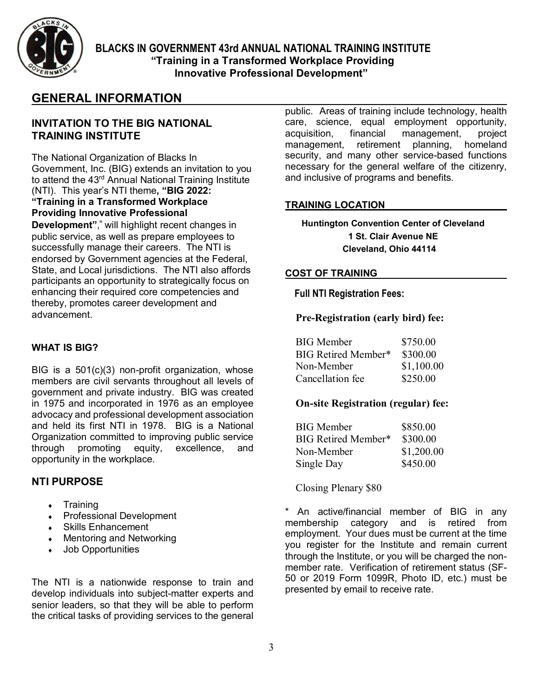

# **GENERAL INFORMATION**

#### **INVITATION TO THE BIG NATIONAL TRAINING INSTITUTE**

The National Organization of Blacks In Government, Inc. (BIG) extends an invitation to you to attend the 43<sup>rd</sup> Annual National Training Institute (NTI). This year's NTI theme**, "BIG 2022: "Training in a Transformed Workplace Providing Innovative Professional** 

**Development"**," will highlight recent changes in public service, as well as prepare employees to successfully manage their careers. The NTI is endorsed by Government agencies at the Federal, State, and Local jurisdictions. The NTI also affords participants an opportunity to strategically focus on enhancing their required core competencies and thereby, promotes career development and advancement.

#### **WHAT IS BIG?**

BIG is a 501(c)(3) non-profit organization, whose members are civil servants throughout all levels of government and private industry. BIG was created in 1975 and incorporated in 1976 as an employee advocacy and professional development association and held its first NTI in 1978. BIG is a National Organization committed to improving public service<br>through promoting equity, excellence, and through promoting equity, excellence, and opportunity in the workplace.

#### **NTI PURPOSE**

- **Training**
- **Professional Development**
- Skills Enhancement
- **Mentoring and Networking**
- **Job Opportunities**

The NTI is a nationwide response to train and develop individuals into subject-matter experts and senior leaders, so that they will be able to perform the critical tasks of providing services to the general public. Areas of training include technology, health care, science, equal employment opportunity, acquisition, financial management, project management, retirement planning, homeland security, and many other service-based functions necessary for the general welfare of the citizenry, and inclusive of programs and benefits.

#### **TRAINING LOCATION**

**Huntington Convention Center of Cleveland 1 St. Clair Avenue NE Cleveland, Ohio 44114**

#### **COST OF TRAINING**

 **Full NTI Registration Fees:**

#### **Pre-Registration (early bird) fee:**

| <b>BIG</b> Member   | \$750.00   |
|---------------------|------------|
| BIG Retired Member* | \$300.00   |
| Non-Member          | \$1,100.00 |
| Cancellation fee    | \$250.00   |

#### **On-site Registration (regular) fee:**

| <b>BIG</b> Member   | \$850.00   |
|---------------------|------------|
| BIG Retired Member* | \$300.00   |
| Non-Member          | \$1,200.00 |
| Single Day          | \$450.00   |

Closing Plenary \$80

\* An active/financial member of BIG in any membership category and is retired from employment. Your dues must be current at the time you register for the Institute and remain current through the Institute, or you will be charged the nonmember rate. Verification of retirement status (SF-50 or 2019 Form 1099R, Photo ID, etc.) must be presented by email to receive rate.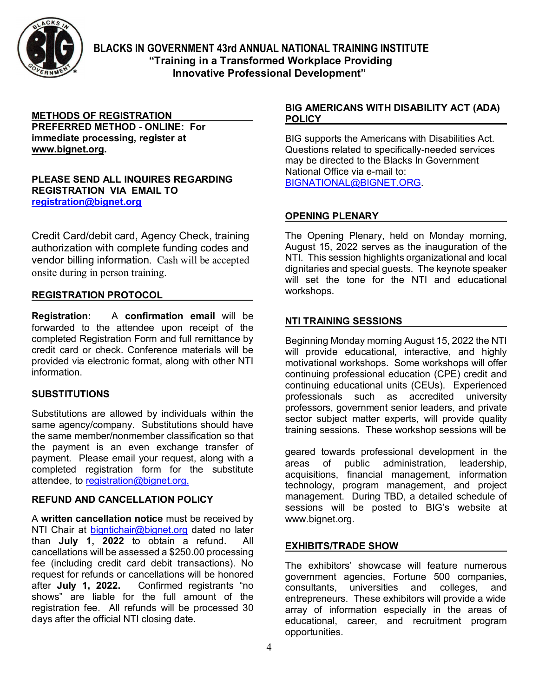

# **METHODS OF REGISTRATION**

**PREFERRED METHOD - ONLINE: For immediate processing, register at [www.bignet.org.](http://www.bignet.org/)**

#### **PLEASE SEND ALL INQUIRES REGARDING REGISTRATION VIA EMAIL TO [registration@bignet.org](mailto:registration@bignet.org)**

Credit Card/debit card, Agency Check, training authorization with complete funding codes and vendor billing information. Cash will be accepted onsite during in person training.

#### **REGISTRATION PROTOCOL**

**Registration:**A **confirmation email** will be forwarded to the attendee upon receipt of the completed Registration Form and full remittance by credit card or check. Conference materials will be provided via electronic format, along with other NTI information.

#### **SUBSTITUTIONS**

Substitutions are allowed by individuals within the same agency/company. Substitutions should have the same member/nonmember classification so that the payment is an even exchange transfer of payment. Please email your request, along with a completed registration form for the substitute attendee, to [registration@bignet.org.](mailto:registration@bignet.org)

#### **REFUND AND CANCELLATION POLICY**

A **written cancellation notice** must be received by NTI Chair at [bigntichair@bignet.org](mailto:bigntichair@bignet.org) dated no later than **July 1, 2022** to obtain a refund. All cancellations will be assessed a \$250.00 processing fee (including credit card debit transactions). No request for refunds or cancellations will be honored after **July 1, 2022.** Confirmed registrants "no shows" are liable for the full amount of the registration fee. All refunds will be processed 30 days after the official NTI closing date.

#### **BIG AMERICANS WITH DISABILITY ACT (ADA) POLICY**

BIG supports the Americans with Disabilities Act. Questions related to specifically-needed services may be directed to the Blacks In Government National Office via e-mail to: [BIGNATIONAL@BIGNET.ORG.](mailto:BIGNATIONAL@BIGNET.ORG)

#### **OPENING PLENARY**

The Opening Plenary, held on Monday morning, August 15, 2022 serves as the inauguration of the NTI. This session highlights organizational and local dignitaries and special guests. The keynote speaker will set the tone for the NTI and educational workshops.

#### **NTI TRAINING SESSIONS**

Beginning Monday morning August 15, 2022 the NTI will provide educational, interactive, and highly motivational workshops. Some workshops will offer continuing professional education (CPE) credit and continuing educational units (CEUs). Experienced professionals such as accredited university professors, government senior leaders, and private sector subject matter experts, will provide quality training sessions. These workshop sessions will be

geared towards professional development in the areas of public administration, leadership, acquisitions, financial management, information technology, program management, and project management. During TBD, a detailed schedule of sessions will be posted to BIG's website at [www.bignet.org.](http://www.bignet.org/)

#### **EXHIBITS/TRADE SHOW**

The exhibitors' showcase will feature numerous government agencies, Fortune 500 companies, consultants, universities and colleges, and entrepreneurs. These exhibitors will provide a wide array of information especially in the areas of educational, career, and recruitment program opportunities.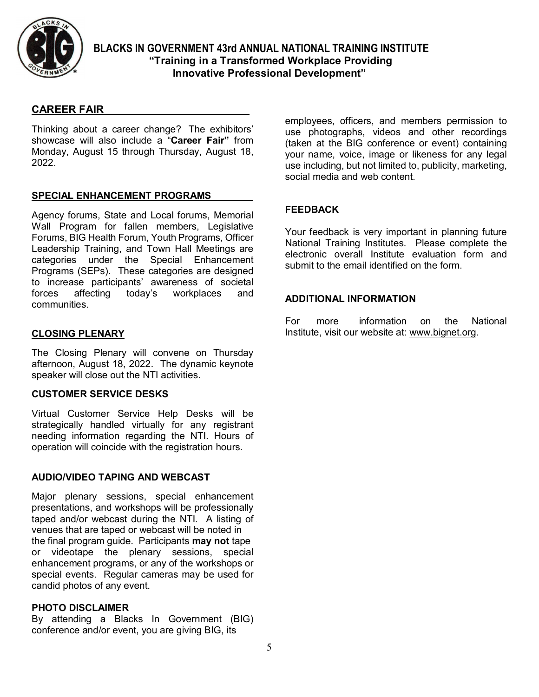

### **CAREER FAIR**

Thinking about a career change? The exhibitors' showcase will also include a "**Career Fair"** from Monday, August 15 through Thursday, August 18, 2022.

#### **SPECIAL ENHANCEMENT PROGRAMS**

Agency forums, State and Local forums, Memorial Wall Program for fallen members, Legislative Forums, BIG Health Forum, Youth Programs, Officer Leadership Training, and Town Hall Meetings are categories under the Special Enhancement Programs (SEPs). These categories are designed to increase participants' awareness of societal<br>forces affecting today's workplaces and forces affecting today's workplaces and communities.

#### **CLOSING PLENARY**

The Closing Plenary will convene on Thursday afternoon, August 18, 2022. The dynamic keynote speaker will close out the NTI activities.

#### **CUSTOMER SERVICE DESKS**

Virtual Customer Service Help Desks will be strategically handled virtually for any registrant needing information regarding the NTI. Hours of operation will coincide with the registration hours.

#### **AUDIO/VIDEO TAPING AND WEBCAST**

Major plenary sessions, special enhancement presentations, and workshops will be professionally taped and/or webcast during the NTI. A listing of venues that are taped or webcast will be noted in the final program guide. Participants **may not** tape or videotape the plenary sessions, special enhancement programs, or any of the workshops or special events. Regular cameras may be used for candid photos of any event.

#### **PHOTO DISCLAIMER**

By attending a Blacks In Government (BIG) conference and/or event, you are giving BIG, its

employees, officers, and members permission to use photographs, videos and other recordings (taken at the BIG conference or event) containing your name, voice, image or likeness for any legal use including, but not limited to, publicity, marketing, social media and web content.

#### **FEEDBACK**

Your feedback is very important in planning future National Training Institutes. Please complete the electronic overall Institute evaluation form and submit to the email identified on the form.

#### **ADDITIONAL INFORMATION**

For more information on the National Institute, visit our website at: [www.bignet.org.](http://www.bignet.org/)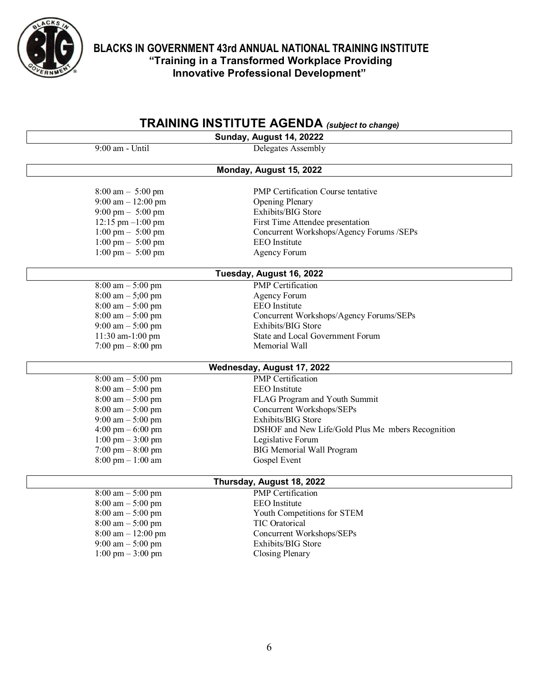

# **TRAINING INSTITUTE AGENDA** *(subject to change)*

| Sunday, August 14, 20222             |                                                   |  |  |  |
|--------------------------------------|---------------------------------------------------|--|--|--|
| $9:00$ am - Until                    | Delegates Assembly                                |  |  |  |
| Monday, August 15, 2022              |                                                   |  |  |  |
| $8:00 \text{ am} - 5:00 \text{ pm}$  | <b>PMP</b> Certification Course tentative         |  |  |  |
| 9:00 am $-12:00$ pm                  | <b>Opening Plenary</b>                            |  |  |  |
| $9:00 \text{ pm} - 5:00 \text{ pm}$  | Exhibits/BIG Store                                |  |  |  |
| $12:15$ pm $-1:00$ pm                | First Time Attendee presentation                  |  |  |  |
| $1:00 \text{ pm} - 5:00 \text{ pm}$  | Concurrent Workshops/Agency Forums /SEPs          |  |  |  |
| $1:00 \text{ pm} - 5:00 \text{ pm}$  | <b>EEO</b> Institute                              |  |  |  |
| $1:00 \text{ pm} - 5:00 \text{ pm}$  | <b>Agency Forum</b>                               |  |  |  |
| Tuesday, August 16, 2022             |                                                   |  |  |  |
| $8:00 \text{ am} - 5:00 \text{ pm}$  | <b>PMP</b> Certification                          |  |  |  |
| $8:00 \text{ am} - 5:00 \text{ pm}$  | <b>Agency Forum</b>                               |  |  |  |
| $8:00 \text{ am} - 5:00 \text{ pm}$  | <b>EEO</b> Institute                              |  |  |  |
| $8:00 \text{ am} - 5:00 \text{ pm}$  | Concurrent Workshops/Agency Forums/SEPs           |  |  |  |
| 9:00 am $-$ 5:00 pm                  | Exhibits/BIG Store                                |  |  |  |
| 11:30 am-1:00 pm                     | State and Local Government Forum                  |  |  |  |
| $7:00 \text{ pm} - 8:00 \text{ pm}$  | Memorial Wall                                     |  |  |  |
| Wednesday, August 17, 2022           |                                                   |  |  |  |
| $8:00 \text{ am} - 5:00 \text{ pm}$  | <b>PMP</b> Certification                          |  |  |  |
| $8:00 \text{ am} - 5:00 \text{ pm}$  | <b>EEO</b> Institute                              |  |  |  |
| $8:00 \text{ am} - 5:00 \text{ pm}$  | FLAG Program and Youth Summit                     |  |  |  |
| $8:00 \text{ am} - 5:00 \text{ pm}$  | Concurrent Workshops/SEPs                         |  |  |  |
| $9:00 \text{ am} - 5:00 \text{ pm}$  | Exhibits/BIG Store                                |  |  |  |
| 4:00 pm $-$ 6:00 pm                  | DSHOF and New Life/Gold Plus Me mbers Recognition |  |  |  |
| $1:00 \text{ pm} - 3:00 \text{ pm}$  | Legislative Forum                                 |  |  |  |
| $7:00 \text{ pm} - 8:00 \text{ pm}$  | <b>BIG Memorial Wall Program</b>                  |  |  |  |
| $8:00 \text{ pm} - 1:00 \text{ am}$  | Gospel Event                                      |  |  |  |
| Thursday, August 18, 2022            |                                                   |  |  |  |
| $8:00 \text{ am} - 5:00 \text{ pm}$  | <b>PMP</b> Certification                          |  |  |  |
| $8:00 \text{ am} - 5:00 \text{ pm}$  | EEO Institute                                     |  |  |  |
| $8:00 \text{ am} - 5:00 \text{ pm}$  | Youth Competitions for STEM                       |  |  |  |
| $8:00 \text{ am} - 5:00 \text{ pm}$  | TIC Oratorical                                    |  |  |  |
| $8:00 \text{ am} - 12:00 \text{ pm}$ | Concurrent Workshops/SEPs                         |  |  |  |
| $9:00 \text{ am} - 5:00 \text{ pm}$  | Exhibits/BIG Store                                |  |  |  |
| $1:00 \text{ pm} - 3:00 \text{ pm}$  | Closing Plenary                                   |  |  |  |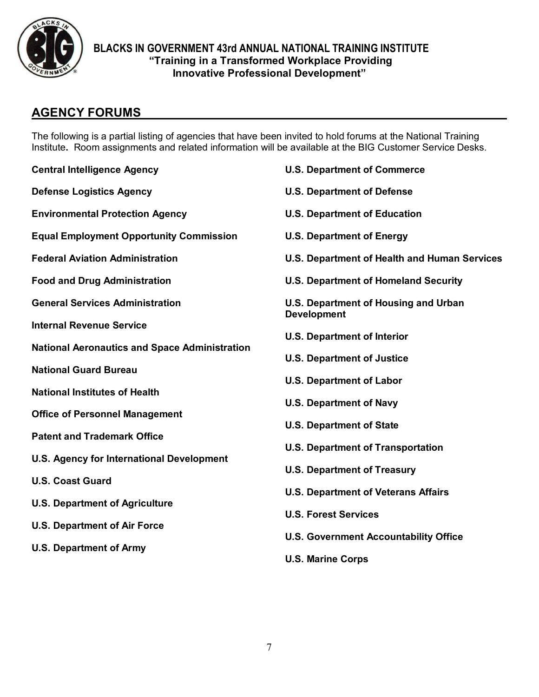

# **AGENCY FORUMS**

The following is a partial listing of agencies that have been invited to hold forums at the National Training Institute**.** Room assignments and related information will be available at the BIG Customer Service Desks.

| <b>Central Intelligence Agency</b>                   | <b>U.S. Department of Commerce</b>                                |
|------------------------------------------------------|-------------------------------------------------------------------|
| <b>Defense Logistics Agency</b>                      | <b>U.S. Department of Defense</b>                                 |
| <b>Environmental Protection Agency</b>               | <b>U.S. Department of Education</b>                               |
| <b>Equal Employment Opportunity Commission</b>       | <b>U.S. Department of Energy</b>                                  |
| <b>Federal Aviation Administration</b>               | U.S. Department of Health and Human Services                      |
| <b>Food and Drug Administration</b>                  | <b>U.S. Department of Homeland Security</b>                       |
| <b>General Services Administration</b>               | <b>U.S. Department of Housing and Urban</b><br><b>Development</b> |
| <b>Internal Revenue Service</b>                      | <b>U.S. Department of Interior</b>                                |
| <b>National Aeronautics and Space Administration</b> | <b>U.S. Department of Justice</b>                                 |
| <b>National Guard Bureau</b>                         | <b>U.S. Department of Labor</b>                                   |
| <b>National Institutes of Health</b>                 |                                                                   |
| <b>Office of Personnel Management</b>                | <b>U.S. Department of Navy</b>                                    |
| <b>Patent and Trademark Office</b>                   | <b>U.S. Department of State</b>                                   |
| <b>U.S. Agency for International Development</b>     | <b>U.S. Department of Transportation</b>                          |
| <b>U.S. Coast Guard</b>                              | <b>U.S. Department of Treasury</b>                                |
| <b>U.S. Department of Agriculture</b>                | <b>U.S. Department of Veterans Affairs</b>                        |
| <b>U.S. Department of Air Force</b>                  | <b>U.S. Forest Services</b>                                       |
| <b>U.S. Department of Army</b>                       | <b>U.S. Government Accountability Office</b>                      |
|                                                      | <b>U.S. Marine Corps</b>                                          |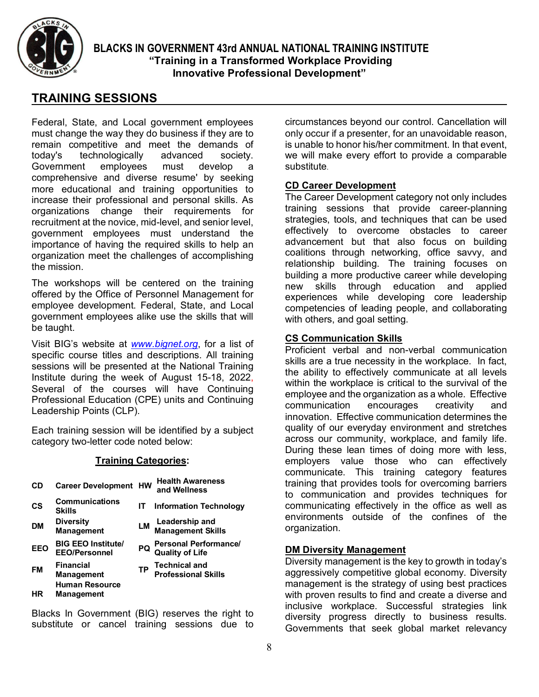

# **TRAINING SESSIONS**

Federal, State, and Local government employees must change the way they do business if they are to remain competitive and meet the demands of today's technologically advanced society. Government employees must develop a comprehensive and diverse resume' by seeking more educational and training opportunities to increase their professional and personal skills. As organizations change their requirements for recruitment at the novice, mid-level, and senior level, government employees must understand the importance of having the required skills to help an organization meet the challenges of accomplishing the mission.

The workshops will be centered on the training offered by the Office of Personnel Management for employee development. Federal, State, and Local government employees alike use the skills that will be taught.

Visit BIG's website at *[www.bignet.org](http://www.bignet.org/)*, for a list of specific course titles and descriptions. All training sessions will be presented at the National Training Institute during the week of August 15-18, 2022, Several of the courses will have Continuing Professional Education (CPE) units and Continuing Leadership Points (CLP).

Each training session will be identified by a subject category two-letter code noted below:

#### **Training Categories:**

|                                                                                     |    | <b>Health Awareness</b><br>and Wellness         |
|-------------------------------------------------------------------------------------|----|-------------------------------------------------|
| <b>Communications</b><br><b>Skills</b>                                              | IΤ | <b>Information Technology</b>                   |
| <b>Diversity</b><br><b>Management</b>                                               | LМ | <b>Leadership and<br/>Management Skills</b>     |
| <b>BIG EEO Institute/</b><br><b>EEO/Personnel</b>                                   | PQ | <b>Personal Performance/</b><br>Quality of Life |
| <b>Financial</b><br><b>Management</b><br><b>Human Resource</b><br><b>Management</b> | TP | <b>Technical and<br/>Professional Skills</b>    |
|                                                                                     |    | <b>Career Development HW</b>                    |

Blacks In Government (BIG) reserves the right to substitute or cancel training sessions due to

circumstances beyond our control. Cancellation will only occur if a presenter, for an unavoidable reason, is unable to honor his/her commitment. In that event, we will make every effort to provide a comparable substitute.

#### **CD Career Development**

The Career Development category not only includes training sessions that provide career-planning strategies, tools, and techniques that can be used effectively to overcome obstacles to career advancement but that also focus on building coalitions through networking, office savvy, and relationship building. The training focuses on building a more productive career while developing new skills through education and applied experiences while developing core leadership competencies of leading people, and collaborating with others, and goal setting.

#### **CS Communication Skills**

Proficient verbal and non-verbal communication skills are a true necessity in the workplace. In fact, the ability to effectively communicate at all levels within the workplace is critical to the survival of the employee and the organization as a whole. Effective communication encourages creativity and innovation. Effective communication determines the quality of our everyday environment and stretches across our community, workplace, and family life. During these lean times of doing more with less, employers value those who can effectively communicate. This training category features training that provides tools for overcoming barriers to communication and provides techniques for communicating effectively in the office as well as environments outside of the confines of the organization.

#### **DM Diversity Management**

Diversity management is the key to growth in today's aggressively competitive global economy. Diversity management is the strategy of using best practices with proven results to find and create a diverse and inclusive workplace. Successful strategies link diversity progress directly to business results. Governments that seek global market relevancy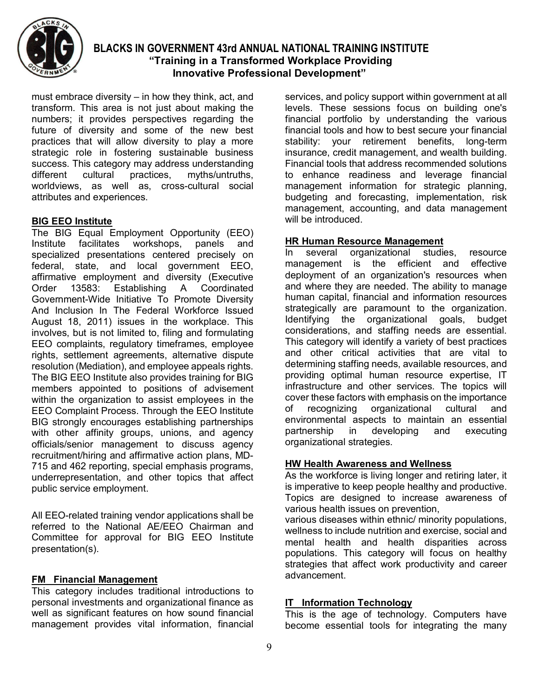

must embrace diversity – in how they think, act, and transform. This area is not just about making the numbers; it provides perspectives regarding the future of diversity and some of the new best practices that will allow diversity to play a more strategic role in fostering sustainable business success. This category may address understanding different cultural practices, myths/untruths, worldviews, as well as, cross-cultural social attributes and experiences.

#### **BIG EEO Institute**

The BIG Equal Employment Opportunity (EEO)<br>Institute facilitates workshops, panels and Institute facilitates workshops, panels and specialized presentations centered precisely on federal, state, and local government EEO, affirmative employment and diversity (Executive Order 13583: Establishing A Coordinated Government-Wide Initiative To Promote Diversity And Inclusion In The Federal Workforce Issued August 18, 2011) issues in the workplace. This involves, but is not limited to, filing and formulating EEO complaints, regulatory timeframes, employee rights, settlement agreements, alternative dispute resolution (Mediation), and employee appeals rights. The BIG EEO Institute also provides training for BIG members appointed to positions of advisement within the organization to assist employees in the EEO Complaint Process. Through the EEO Institute BIG strongly encourages establishing partnerships with other affinity groups, unions, and agency officials/senior management to discuss agency recruitment/hiring and affirmative action plans, MD-715 and 462 reporting, special emphasis programs, underrepresentation, and other topics that affect public service employment.

All EEO-related training vendor applications shall be referred to the National AE/EEO Chairman and Committee for approval for BIG EEO Institute presentation(s).

#### **FM Financial Management**

This category includes traditional introductions to personal investments and organizational finance as well as significant features on how sound financial management provides vital information, financial

services, and policy support within government at all levels. These sessions focus on building one's financial portfolio by understanding the various financial tools and how to best secure your financial stability: your retirement benefits, long-term insurance, credit management, and wealth building. Financial tools that address recommended solutions to enhance readiness and leverage financial management information for strategic planning, budgeting and forecasting, implementation, risk management, accounting, and data management will be introduced.

# **HR Human Resource Management**

In several organizational studies, resource management is the efficient and effective deployment of an organization's resources when and where they are needed. The ability to manage human capital, financial and information resources strategically are paramount to the organization. Identifying the organizational goals, budget considerations, and staffing needs are essential. This category will identify a variety of best practices and other critical activities that are vital to determining staffing needs, available resources, and providing optimal human resource expertise, IT infrastructure and other services. The topics will cover these factors with emphasis on the importance of recognizing organizational cultural and environmental aspects to maintain an essential partnership in developing and executing organizational strategies.

#### **HW Health Awareness and Wellness**

As the workforce is living longer and retiring later, it is imperative to keep people healthy and productive. Topics are designed to increase awareness of various health issues on prevention,

various diseases within ethnic/ minority populations, wellness to include nutrition and exercise, social and mental health and health disparities across populations. This category will focus on healthy strategies that affect work productivity and career advancement.

#### **IT Information Technology**

This is the age of technology. Computers have become essential tools for integrating the many